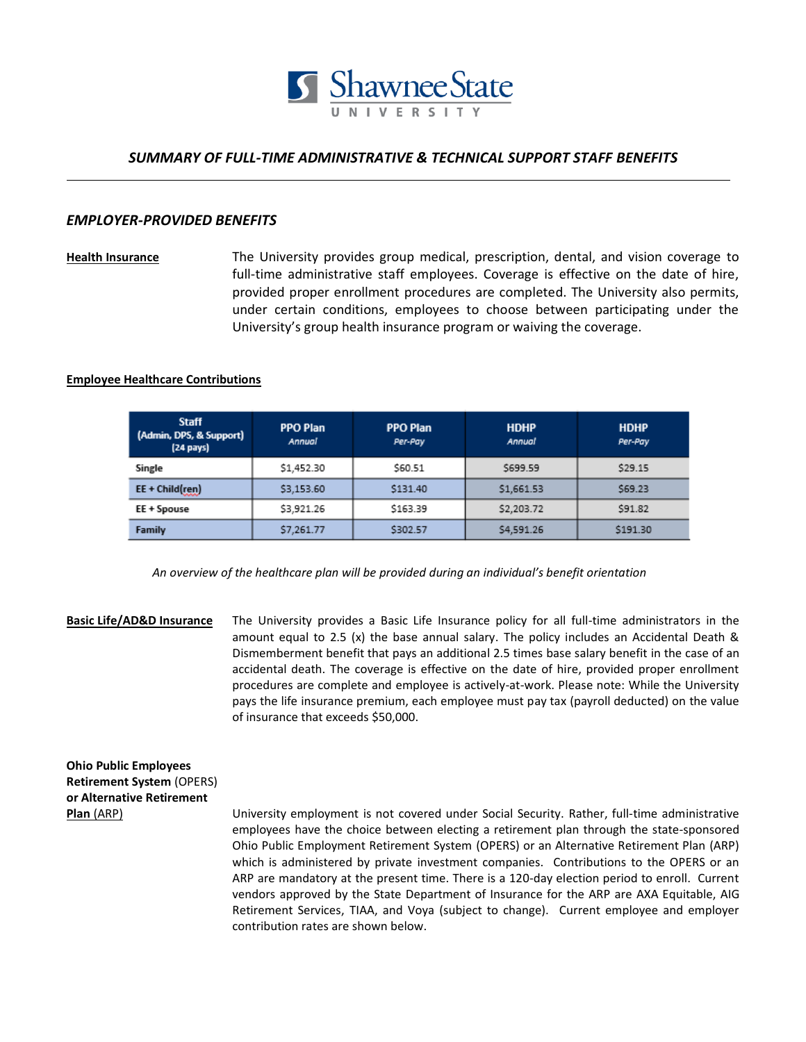

# *SUMMARY OF FULL-TIME ADMINISTRATIVE & TECHNICAL SUPPORT STAFF BENEFITS*

## *EMPLOYER-PROVIDED BENEFITS*

**Health Insurance** The University provides group medical, prescription, dental, and vision coverage to full-time administrative staff employees. Coverage is effective on the date of hire, provided proper enrollment procedures are completed. The University also permits, under certain conditions, employees to choose between participating under the University's group health insurance program or waiving the coverage.

### **Employee Healthcare Contributions**

| <b>Staff</b><br>(Admin, DPS, & Support)<br>$(24 \text{ pays})$ | <b>PPO Plan</b><br>Annual | <b>PPO Plan</b><br>Per-Pay | <b>HDHP</b><br>Annual | <b>HDHP</b><br>Per-Pay |
|----------------------------------------------------------------|---------------------------|----------------------------|-----------------------|------------------------|
| Single                                                         | \$1,452.30                | \$60.51                    | \$699.59              | \$29.15                |
| EE + Child(ren)                                                | \$3,153.60                | \$131.40                   | \$1,661.53            | \$69.23                |
| EE + Spouse                                                    | \$3,921.26                | \$163.39                   | \$2,203.72            | \$91.82                |
| Family                                                         | \$7,261.77                | \$302.57                   | \$4,591.26            | \$191.30               |

 *An overview of the healthcare plan will be provided during an individual's benefit orientation*

**Basic Life/AD&D Insurance** The University provides a Basic Life Insurance policy for all full-time administrators in the amount equal to 2.5 (x) the base annual salary. The policy includes an Accidental Death & Dismemberment benefit that pays an additional 2.5 times base salary benefit in the case of an accidental death. The coverage is effective on the date of hire, provided proper enrollment procedures are complete and employee is actively-at-work. Please note: While the University pays the life insurance premium, each employee must pay tax (payroll deducted) on the value of insurance that exceeds \$50,000.

**Ohio Public Employees Retirement System** (OPERS) **or Alternative Retirement** 

**Plan** (ARP) University employment is not covered under Social Security. Rather, full-time administrative employees have the choice between electing a retirement plan through the state-sponsored Ohio Public Employment Retirement System (OPERS) or an Alternative Retirement Plan (ARP) which is administered by private investment companies. Contributions to the OPERS or an ARP are mandatory at the present time. There is a 120-day election period to enroll. Current vendors approved by the State Department of Insurance for the ARP are AXA Equitable, AIG Retirement Services, TIAA, and Voya (subject to change). Current employee and employer contribution rates are shown below.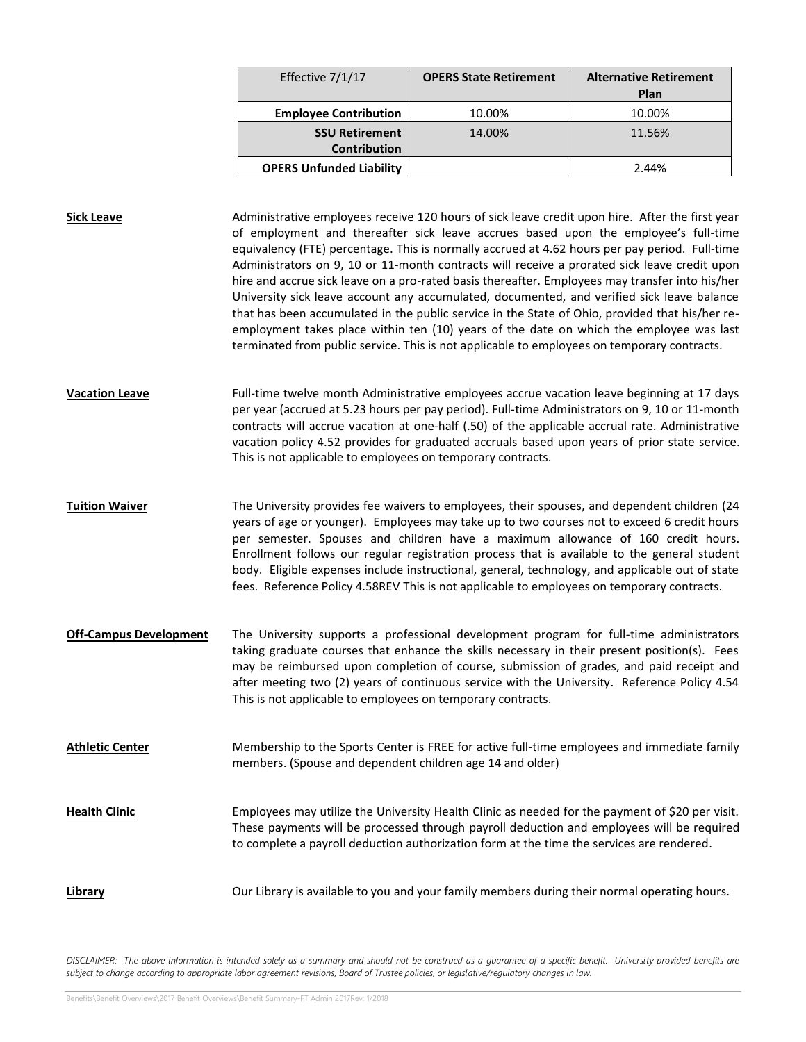| Effective 7/1/17                | <b>OPERS State Retirement</b> | <b>Alternative Retirement</b><br>Plan |
|---------------------------------|-------------------------------|---------------------------------------|
| <b>Employee Contribution</b>    | 10.00%                        | 10.00%                                |
| <b>SSU Retirement</b>           | 14.00%                        | 11.56%                                |
| <b>Contribution</b>             |                               |                                       |
| <b>OPERS Unfunded Liability</b> |                               | 2.44%                                 |

**Sick Leave** Administrative employees receive 120 hours of sick leave credit upon hire. After the first year of employment and thereafter sick leave accrues based upon the employee's full-time equivalency (FTE) percentage. This is normally accrued at 4.62 hours per pay period. Full-time Administrators on 9, 10 or 11-month contracts will receive a prorated sick leave credit upon hire and accrue sick leave on a pro-rated basis thereafter. Employees may transfer into his/her University sick leave account any accumulated, documented, and verified sick leave balance that has been accumulated in the public service in the State of Ohio, provided that his/her reemployment takes place within ten (10) years of the date on which the employee was last terminated from public service. This is not applicable to employees on temporary contracts.

**Vacation Leave** Full-time twelve month Administrative employees accrue vacation leave beginning at 17 days per year (accrued at 5.23 hours per pay period). Full-time Administrators on 9, 10 or 11-month contracts will accrue vacation at one-half (.50) of the applicable accrual rate. Administrative vacation policy 4.52 provides for graduated accruals based upon years of prior state service. This is not applicable to employees on temporary contracts.

**Tuition Waiver** The University provides fee waivers to employees, their spouses, and dependent children (24 years of age or younger). Employees may take up to two courses not to exceed 6 credit hours per semester. Spouses and children have a maximum allowance of 160 credit hours. Enrollment follows our regular registration process that is available to the general student body. Eligible expenses include instructional, general, technology, and applicable out of state fees. Reference Policy 4.58REV This is not applicable to employees on temporary contracts.

**Off-Campus Development** The University supports a professional development program for full-time administrators taking graduate courses that enhance the skills necessary in their present position(s). Fees may be reimbursed upon completion of course, submission of grades, and paid receipt and after meeting two (2) years of continuous service with the University. Reference Policy 4.54 This is not applicable to employees on temporary contracts.

**Athletic Center** Membership to the Sports Center is FREE for active full-time employees and immediate family members. (Spouse and dependent children age 14 and older)

**Health Clinic** Employees may utilize the University Health Clinic as needed for the payment of \$20 per visit. These payments will be processed through payroll deduction and employees will be required to complete a payroll deduction authorization form at the time the services are rendered.

### Library **Cure Library is available to you and your family members during their normal operating hours.**

*DISCLAIMER: The above information is intended solely as a summary and should not be construed as a guarantee of a specific benefit. University provided benefits are subject to change according to appropriate labor agreement revisions, Board of Trustee policies, or legislative/regulatory changes in law.*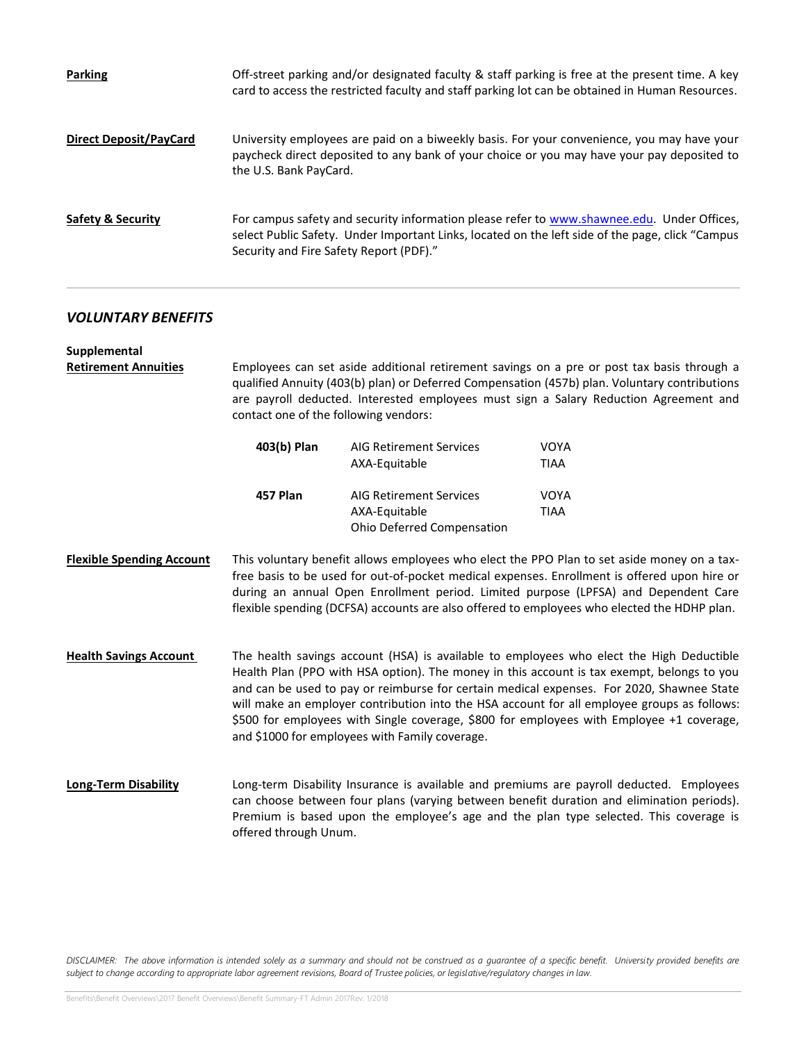| <b>Parking</b>                | Off-street parking and/or designated faculty & staff parking is free at the present time. A key<br>card to access the restricted faculty and staff parking lot can be obtained in Human Resources.                                        |
|-------------------------------|-------------------------------------------------------------------------------------------------------------------------------------------------------------------------------------------------------------------------------------------|
| <b>Direct Deposit/PayCard</b> | University employees are paid on a biweekly basis. For your convenience, you may have your<br>paycheck direct deposited to any bank of your choice or you may have your pay deposited to<br>the U.S. Bank PayCard.                        |
| <b>Safety &amp; Security</b>  | For campus safety and security information please refer to www.shawnee.edu. Under Offices,<br>select Public Safety. Under Important Links, located on the left side of the page, click "Campus<br>Security and Fire Safety Report (PDF)." |

# *VOLUNTARY BENEFITS*

| Supplemental<br><b>Retirement Annuities</b> | Employees can set aside additional retirement savings on a pre or post tax basis through a<br>qualified Annuity (403(b) plan) or Deferred Compensation (457b) plan. Voluntary contributions<br>are payroll deducted. Interested employees must sign a Salary Reduction Agreement and<br>contact one of the following vendors:                                                                                                                                                                                                    |                                                                               |                                                                                                                                                                                                                                                                                |  |  |
|---------------------------------------------|----------------------------------------------------------------------------------------------------------------------------------------------------------------------------------------------------------------------------------------------------------------------------------------------------------------------------------------------------------------------------------------------------------------------------------------------------------------------------------------------------------------------------------|-------------------------------------------------------------------------------|--------------------------------------------------------------------------------------------------------------------------------------------------------------------------------------------------------------------------------------------------------------------------------|--|--|
|                                             | 403(b) Plan                                                                                                                                                                                                                                                                                                                                                                                                                                                                                                                      | <b>AIG Retirement Services</b><br>AXA-Equitable                               | <b>VOYA</b><br><b>TIAA</b>                                                                                                                                                                                                                                                     |  |  |
|                                             | 457 Plan                                                                                                                                                                                                                                                                                                                                                                                                                                                                                                                         | <b>AIG Retirement Services</b><br>AXA-Equitable<br>Ohio Deferred Compensation | <b>VOYA</b><br><b>TIAA</b>                                                                                                                                                                                                                                                     |  |  |
| <b>Flexible Spending Account</b>            | This voluntary benefit allows employees who elect the PPO Plan to set aside money on a tax-<br>free basis to be used for out-of-pocket medical expenses. Enrollment is offered upon hire or<br>during an annual Open Enrollment period. Limited purpose (LPFSA) and Dependent Care<br>flexible spending (DCFSA) accounts are also offered to employees who elected the HDHP plan.                                                                                                                                                |                                                                               |                                                                                                                                                                                                                                                                                |  |  |
| <b>Health Savings Account</b>               | The health savings account (HSA) is available to employees who elect the High Deductible<br>Health Plan (PPO with HSA option). The money in this account is tax exempt, belongs to you<br>and can be used to pay or reimburse for certain medical expenses. For 2020, Shawnee State<br>will make an employer contribution into the HSA account for all employee groups as follows:<br>\$500 for employees with Single coverage, \$800 for employees with Employee +1 coverage,<br>and \$1000 for employees with Family coverage. |                                                                               |                                                                                                                                                                                                                                                                                |  |  |
| <b>Long-Term Disability</b>                 | offered through Unum.                                                                                                                                                                                                                                                                                                                                                                                                                                                                                                            |                                                                               | Long-term Disability Insurance is available and premiums are payroll deducted. Employees<br>can choose between four plans (varying between benefit duration and elimination periods).<br>Premium is based upon the employee's age and the plan type selected. This coverage is |  |  |

*DISCLAIMER: The above information is intended solely as a summary and should not be construed as a guarantee of a specific benefit. University provided benefits are subject to change according to appropriate labor agreement revisions, Board of Trustee policies, or legislative/regulatory changes in law.*